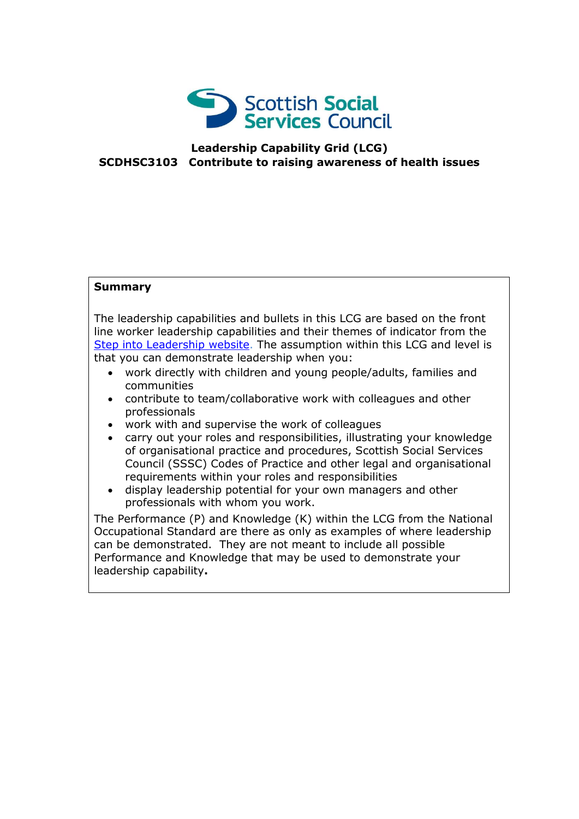

## **Leadership Capability Grid (LCG) SCDHSC3103 Contribute to raising awareness of health issues**

## **Summary**

The leadership capabilities and bullets in this LCG are based on the front line worker leadership capabilities and their themes of indicator from the [Step into Leadership website.](http://www.stepintoleadership.info/) The assumption within this LCG and level is that you can demonstrate leadership when you:

- work directly with children and young people/adults, families and communities
- contribute to team/collaborative work with colleagues and other professionals
- work with and supervise the work of colleagues
- carry out your roles and responsibilities, illustrating your knowledge of organisational practice and procedures, Scottish Social Services Council (SSSC) Codes of Practice and other legal and organisational requirements within your roles and responsibilities
- display leadership potential for your own managers and other professionals with whom you work.

The Performance (P) and Knowledge (K) within the LCG from the National Occupational Standard are there as only as examples of where leadership can be demonstrated. They are not meant to include all possible Performance and Knowledge that may be used to demonstrate your leadership capability**.**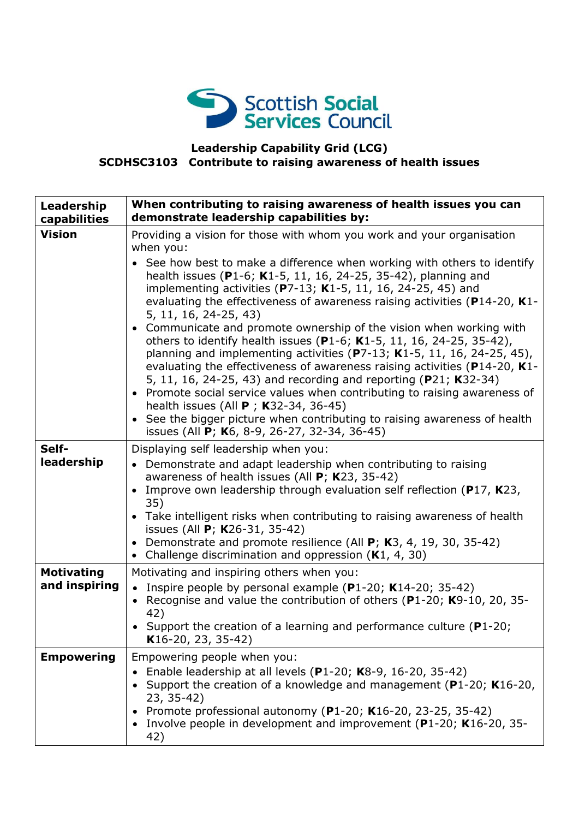

## **Leadership Capability Grid (LCG) SCDHSC3103 Contribute to raising awareness of health issues**

| Leadership<br>capabilities         | When contributing to raising awareness of health issues you can<br>demonstrate leadership capabilities by:                                                                                                                                                                                                                                                                                                                                                                                                                                                                                                                                                                                                                                                                                                                                                                                                                                                                                                                              |
|------------------------------------|-----------------------------------------------------------------------------------------------------------------------------------------------------------------------------------------------------------------------------------------------------------------------------------------------------------------------------------------------------------------------------------------------------------------------------------------------------------------------------------------------------------------------------------------------------------------------------------------------------------------------------------------------------------------------------------------------------------------------------------------------------------------------------------------------------------------------------------------------------------------------------------------------------------------------------------------------------------------------------------------------------------------------------------------|
| <b>Vision</b>                      | Providing a vision for those with whom you work and your organisation<br>when you:<br>See how best to make a difference when working with others to identify<br>health issues (P1-6; K1-5, 11, 16, 24-25, 35-42), planning and<br>implementing activities (P7-13; K1-5, 11, 16, 24-25, 45) and<br>evaluating the effectiveness of awareness raising activities ( $P14-20$ , K1-<br>5, 11, 16, 24-25, 43)<br>• Communicate and promote ownership of the vision when working with<br>others to identify health issues (P1-6; K1-5, 11, 16, 24-25, 35-42),<br>planning and implementing activities ( $P$ 7-13; K1-5, 11, 16, 24-25, 45),<br>evaluating the effectiveness of awareness raising activities (P14-20, K1-<br>5, 11, 16, 24-25, 43) and recording and reporting (P21; K32-34)<br>• Promote social service values when contributing to raising awareness of<br>health issues (All P; K32-34, 36-45)<br>• See the bigger picture when contributing to raising awareness of health<br>issues (All P; K6, 8-9, 26-27, 32-34, 36-45) |
| Self-<br>leadership                | Displaying self leadership when you:<br>• Demonstrate and adapt leadership when contributing to raising<br>awareness of health issues (All $P$ ; K23, 35-42)<br>Improve own leadership through evaluation self reflection (P17, K23,<br>35)<br>• Take intelligent risks when contributing to raising awareness of health<br>issues (All P; K26-31, 35-42)<br>Demonstrate and promote resilience (All P; K3, 4, 19, 30, 35-42)<br>Challenge discrimination and oppression $(K1, 4, 30)$<br>$\bullet$                                                                                                                                                                                                                                                                                                                                                                                                                                                                                                                                     |
| <b>Motivating</b><br>and inspiring | Motivating and inspiring others when you:<br>• Inspire people by personal example (P1-20; K14-20; 35-42)<br>Recognise and value the contribution of others (P1-20; K9-10, 20, 35-<br>42)<br>• Support the creation of a learning and performance culture ( $P1-20$ ;<br>K16-20, 23, 35-42)                                                                                                                                                                                                                                                                                                                                                                                                                                                                                                                                                                                                                                                                                                                                              |
| <b>Empowering</b>                  | Empowering people when you:<br>Enable leadership at all levels ( $P1-20$ ; K8-9, 16-20, 35-42)<br>Support the creation of a knowledge and management ( $P1-20$ ; K16-20,<br>23, 35-42)<br>Promote professional autonomy (P1-20; K16-20, 23-25, 35-42)<br>Involve people in development and improvement (P1-20; K16-20, 35-<br>42)                                                                                                                                                                                                                                                                                                                                                                                                                                                                                                                                                                                                                                                                                                       |